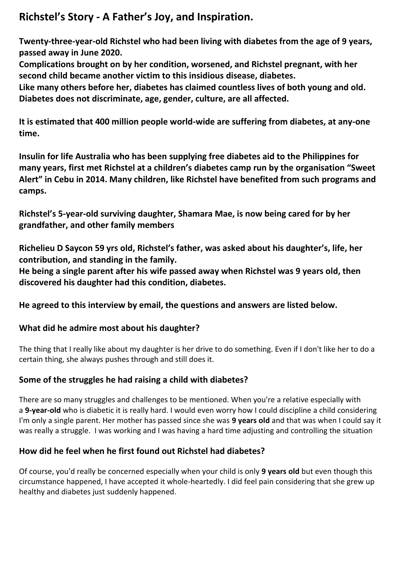# **Richstel's Story - A Father's Joy, and Inspiration.**

**Twenty-three-year-old Richstel who had been living with diabetes from the age of 9 years, passed away in June 2020.** 

**Complications brought on by her condition, worsened, and Richstel pregnant, with her second child became another victim to this insidious disease, diabetes.**

**Like many others before her, diabetes has claimed countless lives of both young and old. Diabetes does not discriminate, age, gender, culture, are all affected.** 

**It is estimated that 400 million people world-wide are suffering from diabetes, at any-one time.**

**Insulin for life Australia who has been supplying free diabetes aid to the Philippines for many years, first met Richstel at a children's diabetes camp run by the organisation "Sweet Alert" in Cebu in 2014. Many children, like Richstel have benefited from such programs and camps.**

**Richstel's 5-year-old surviving daughter, Shamara Mae, is now being cared for by her grandfather, and other family members** 

**Richelieu D Saycon 59 yrs old, Richstel's father, was asked about his daughter's, life, her contribution, and standing in the family.** 

**He being a single parent after his wife passed away when Richstel was 9 years old, then discovered his daughter had this condition, diabetes.** 

**He agreed to this interview by email, the questions and answers are listed below.**

#### **What did he admire most about his daughter?**

The thing that I really like about my daughter is her drive to do something. Even if I don't like her to do a certain thing, she always pushes through and still does it.

# **Some of the struggles he had raising a child with diabetes?**

There are so many struggles and challenges to be mentioned. When you're a relative especially with a **9-year-old** who is diabetic it is really hard. I would even worry how I could discipline a child considering I'm only a single parent. Her mother has passed since she was **9 years old** and that was when I could say it was really a struggle. I was working and I was having a hard time adjusting and controlling the situation

# **How did he feel when he first found out Richstel had diabetes?**

Of course, you'd really be concerned especially when your child is only **9 years old** but even though this circumstance happened, I have accepted it whole-heartedly. I did feel pain considering that she grew up healthy and diabetes just suddenly happened.